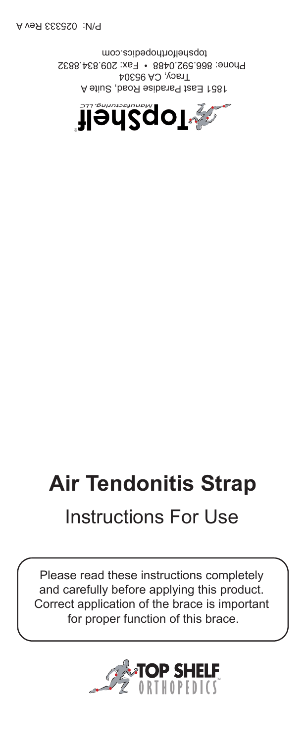Tracy, CA 95304 Phone: 866.592.0488 • Fax: 209.834.8832 topshelforthopedics.com

## **Air Tendonitis Strap** Instructions For Use

Please read these instructions completely and carefully before applying this product. Correct application of the brace is important for proper function of this brace.